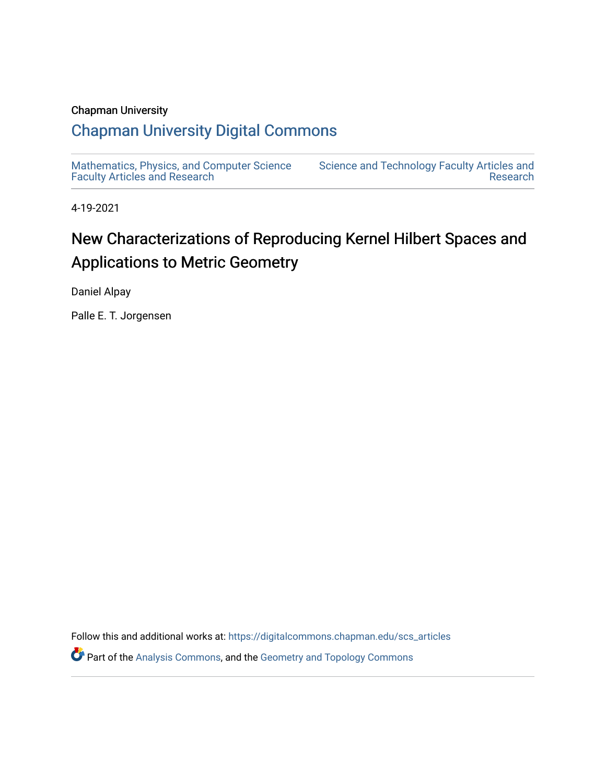## Chapman University

# [Chapman University Digital Commons](https://digitalcommons.chapman.edu/)

[Mathematics, Physics, and Computer Science](https://digitalcommons.chapman.edu/scs_articles)  [Faculty Articles and Research](https://digitalcommons.chapman.edu/scs_articles)

[Science and Technology Faculty Articles and](https://digitalcommons.chapman.edu/science_articles)  [Research](https://digitalcommons.chapman.edu/science_articles) 

4-19-2021

# New Characterizations of Reproducing Kernel Hilbert Spaces and Applications to Metric Geometry

Daniel Alpay

Palle E. T. Jorgensen

Follow this and additional works at: [https://digitalcommons.chapman.edu/scs\\_articles](https://digitalcommons.chapman.edu/scs_articles?utm_source=digitalcommons.chapman.edu%2Fscs_articles%2F719&utm_medium=PDF&utm_campaign=PDFCoverPages)  Part of the [Analysis Commons](http://network.bepress.com/hgg/discipline/177?utm_source=digitalcommons.chapman.edu%2Fscs_articles%2F719&utm_medium=PDF&utm_campaign=PDFCoverPages), and the [Geometry and Topology Commons](http://network.bepress.com/hgg/discipline/180?utm_source=digitalcommons.chapman.edu%2Fscs_articles%2F719&utm_medium=PDF&utm_campaign=PDFCoverPages)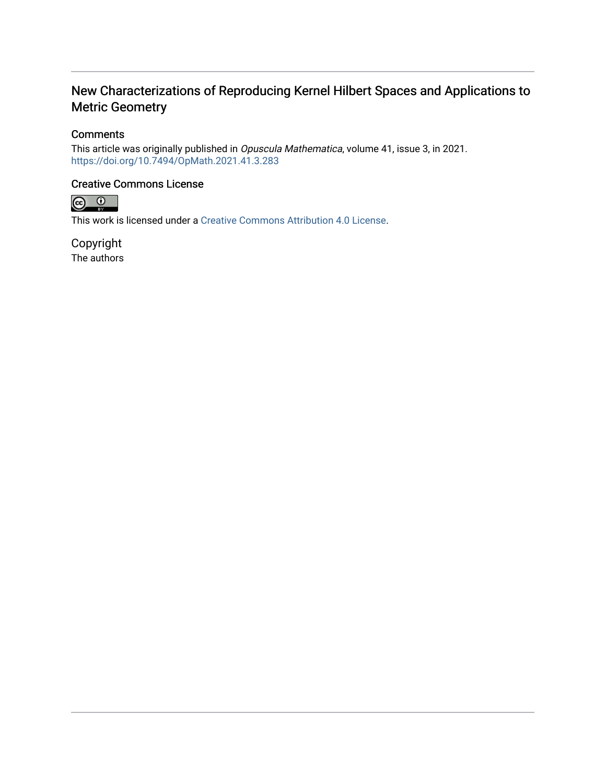## New Characterizations of Reproducing Kernel Hilbert Spaces and Applications to Metric Geometry

## **Comments**

This article was originally published in Opuscula Mathematica, volume 41, issue 3, in 2021. <https://doi.org/10.7494/OpMath.2021.41.3.283>

## Creative Commons License



This work is licensed under a [Creative Commons Attribution 4.0 License](https://creativecommons.org/licenses/by/4.0/).

Copyright The authors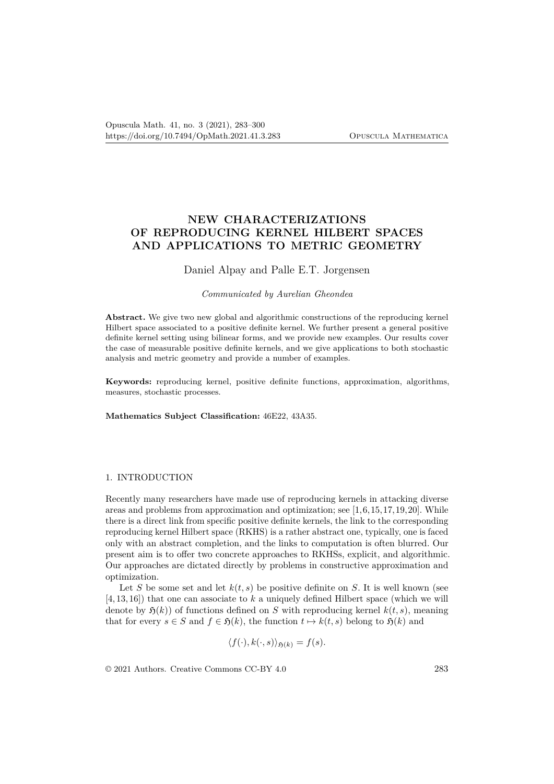## **NEW CHARACTERIZATIONS OF REPRODUCING KERNEL HILBERT SPACES AND APPLICATIONS TO METRIC GEOMETRY**

### Daniel Alpay and Palle E.T. Jorgensen

#### *Communicated by Aurelian Gheondea*

**Abstract.** We give two new global and algorithmic constructions of the reproducing kernel Hilbert space associated to a positive definite kernel. We further present a general positive definite kernel setting using bilinear forms, and we provide new examples. Our results cover the case of measurable positive definite kernels, and we give applications to both stochastic analysis and metric geometry and provide a number of examples.

**Keywords:** reproducing kernel, positive definite functions, approximation, algorithms, measures, stochastic processes.

**Mathematics Subject Classification:** 46E22, 43A35.

#### 1. INTRODUCTION

Recently many researchers have made use of reproducing kernels in attacking diverse areas and problems from approximation and optimization; see [1,6,15,17,19,20]. While there is a direct link from specific positive definite kernels, the link to the corresponding reproducing kernel Hilbert space (RKHS) is a rather abstract one, typically, one is faced only with an abstract completion, and the links to computation is often blurred. Our present aim is to offer two concrete approaches to RKHSs, explicit, and algorithmic. Our approaches are dictated directly by problems in constructive approximation and optimization.

Let *S* be some set and let  $k(t,s)$  be positive definite on *S*. It is well known (see [4, 13, 16]) that one can associate to *k* a uniquely defined Hilbert space (which we will denote by  $\mathfrak{H}(k)$ ) of functions defined on *S* with reproducing kernel  $k(t, s)$ , meaning that for every  $s \in S$  and  $f \in \mathfrak{H}(k)$ , the function  $t \mapsto k(t, s)$  belong to  $\mathfrak{H}(k)$  and

$$
\langle f(\cdot), k(\cdot, s) \rangle_{\mathfrak{H}(k)} = f(s).
$$

© 2021 Authors. Creative Commons CC-BY 4.0 283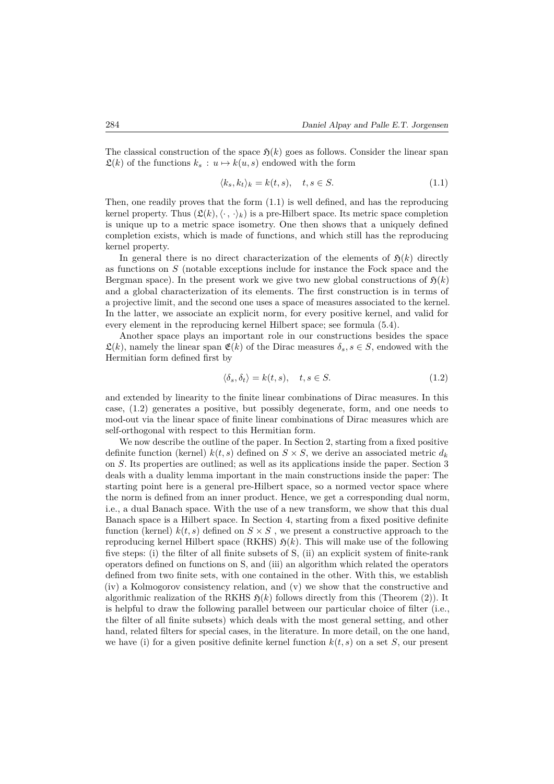The classical construction of the space  $\mathfrak{H}(k)$  goes as follows. Consider the linear span  $\mathfrak{L}(k)$  of the functions  $k_s : u \mapsto k(u, s)$  endowed with the form

$$
\langle k_s, k_t \rangle_k = k(t, s), \quad t, s \in S. \tag{1.1}
$$

Then, one readily proves that the form (1.1) is well defined, and has the reproducing kernel property. Thus  $(\mathfrak{L}(k), \langle \cdot, \cdot \rangle_k)$  is a pre-Hilbert space. Its metric space completion is unique up to a metric space isometry. One then shows that a uniquely defined completion exists, which is made of functions, and which still has the reproducing kernel property.

In general there is no direct characterization of the elements of  $\mathfrak{H}(k)$  directly as functions on *S* (notable exceptions include for instance the Fock space and the Bergman space). In the present work we give two new global constructions of  $\mathfrak{H}(k)$ and a global characterization of its elements. The first construction is in terms of a projective limit, and the second one uses a space of measures associated to the kernel. In the latter, we associate an explicit norm, for every positive kernel, and valid for every element in the reproducing kernel Hilbert space; see formula (5.4).

Another space plays an important role in our constructions besides the space  $\mathfrak{L}(k)$ , namely the linear span  $\mathfrak{E}(k)$  of the Dirac measures  $\delta_s$ ,  $s \in S$ , endowed with the Hermitian form defined first by

$$
\langle \delta_s, \delta_t \rangle = k(t, s), \quad t, s \in S. \tag{1.2}
$$

and extended by linearity to the finite linear combinations of Dirac measures. In this case, (1.2) generates a positive, but possibly degenerate, form, and one needs to mod-out via the linear space of finite linear combinations of Dirac measures which are self-orthogonal with respect to this Hermitian form.

We now describe the outline of the paper. In Section 2, starting from a fixed positive definite function (kernel)  $k(t, s)$  defined on  $S \times S$ , we derive an associated metric  $d_k$ on *S*. Its properties are outlined; as well as its applications inside the paper. Section 3 deals with a duality lemma important in the main constructions inside the paper: The starting point here is a general pre-Hilbert space, so a normed vector space where the norm is defined from an inner product. Hence, we get a corresponding dual norm, i.e., a dual Banach space. With the use of a new transform, we show that this dual Banach space is a Hilbert space. In Section 4, starting from a fixed positive definite function (kernel)  $k(t, s)$  defined on  $S \times S$ , we present a constructive approach to the reproducing kernel Hilbert space (RKHS)  $\mathfrak{H}(k)$ . This will make use of the following five steps: (i) the filter of all finite subsets of S, (ii) an explicit system of finite-rank operators defined on functions on S, and (iii) an algorithm which related the operators defined from two finite sets, with one contained in the other. With this, we establish (iv) a Kolmogorov consistency relation, and (v) we show that the constructive and algorithmic realization of the RKHS  $\mathfrak{H}(k)$  follows directly from this (Theorem (2)). It is helpful to draw the following parallel between our particular choice of filter (i.e., the filter of all finite subsets) which deals with the most general setting, and other hand, related filters for special cases, in the literature. In more detail, on the one hand, we have (i) for a given positive definite kernel function  $k(t, s)$  on a set *S*, our present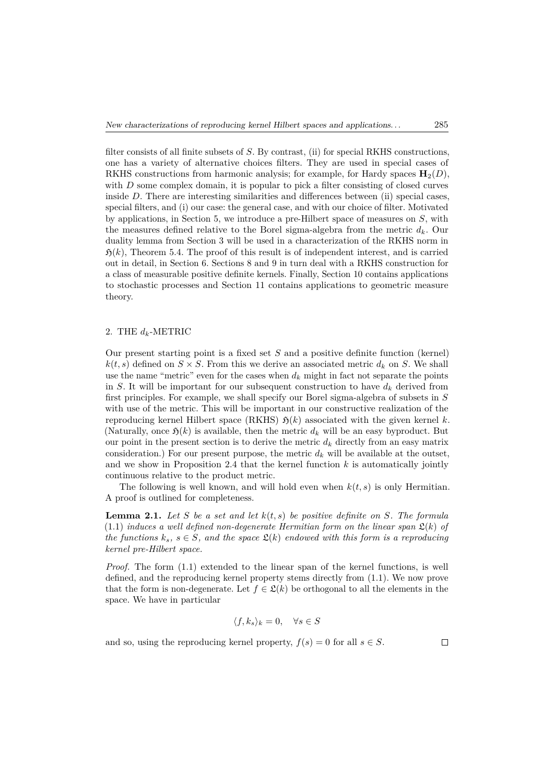filter consists of all finite subsets of *S*. By contrast, (ii) for special RKHS constructions, one has a variety of alternative choices filters. They are used in special cases of RKHS constructions from harmonic analysis; for example, for Hardy spaces  $\mathbf{H}_{2}(D)$ , with *D* some complex domain, it is popular to pick a filter consisting of closed curves inside *D*. There are interesting similarities and differences between (ii) special cases, special filters, and (i) our case: the general case, and with our choice of filter. Motivated by applications, in Section 5, we introduce a pre-Hilbert space of measures on *S*, with the measures defined relative to the Borel sigma-algebra from the metric  $d_k$ . Our duality lemma from Section 3 will be used in a characterization of the RKHS norm in  $\mathfrak{H}(k)$ , Theorem 5.4. The proof of this result is of independent interest, and is carried out in detail, in Section 6. Sections 8 and 9 in turn deal with a RKHS construction for a class of measurable positive definite kernels. Finally, Section 10 contains applications to stochastic processes and Section 11 contains applications to geometric measure theory.

#### 2. THE  $d_k$ -METRIC

Our present starting point is a fixed set *S* and a positive definite function (kernel)  $k(t, s)$  defined on  $S \times S$ . From this we derive an associated metric  $d_k$  on *S*. We shall use the name "metric" even for the cases when  $d_k$  might in fact not separate the points in *S*. It will be important for our subsequent construction to have  $d_k$  derived from first principles. For example, we shall specify our Borel sigma-algebra of subsets in *S* with use of the metric. This will be important in our constructive realization of the reproducing kernel Hilbert space (RKHS)  $\mathfrak{H}(k)$  associated with the given kernel k. (Naturally, once  $\mathfrak{H}(k)$  is available, then the metric  $d_k$  will be an easy byproduct. But our point in the present section is to derive the metric  $d_k$  directly from an easy matrix consideration.) For our present purpose, the metric  $d_k$  will be available at the outset, and we show in Proposition 2.4 that the kernel function *k* is automatically jointly continuous relative to the product metric.

The following is well known, and will hold even when *k*(*t, s*) is only Hermitian. A proof is outlined for completeness.

**Lemma 2.1.** *Let S be a set and let k*(*t, s*) *be positive definite on S. The formula*  $(1.1)$  *induces a well defined non-degenerate Hermitian form on the linear span*  $\mathfrak{L}(k)$  of *the functions*  $k_s$ ,  $s \in S$ *, and the space*  $\mathfrak{L}(k)$  *endowed with this form is a reproducing kernel pre-Hilbert space.*

*Proof.* The form  $(1.1)$  extended to the linear span of the kernel functions, is well defined, and the reproducing kernel property stems directly from (1.1). We now prove that the form is non-degenerate. Let  $f \in \mathcal{L}(k)$  be orthogonal to all the elements in the space. We have in particular

$$
\langle f, k_s \rangle_k = 0, \quad \forall s \in S
$$

and so, using the reproducing kernel property,  $f(s) = 0$  for all  $s \in S$ .

 $\Box$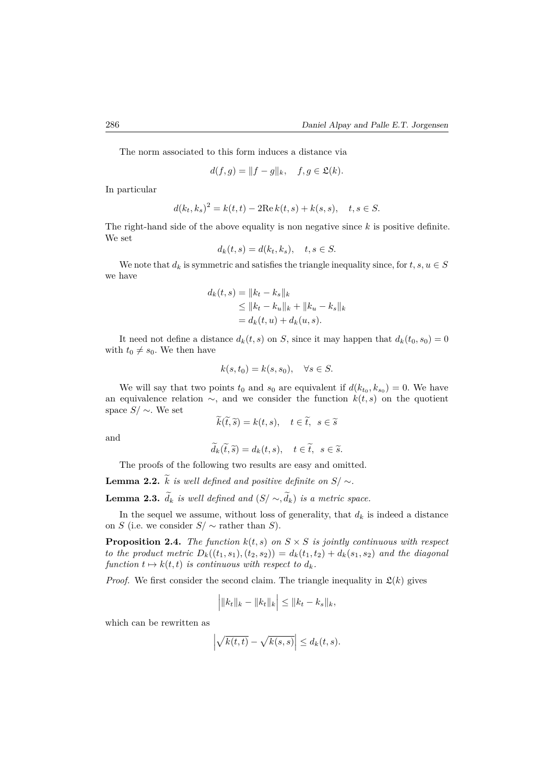The norm associated to this form induces a distance via

$$
d(f,g) = ||f - g||_k, \quad f, g \in \mathfrak{L}(k).
$$

In particular

$$
d(k_t, k_s)^2 = k(t, t) - 2\text{Re}\,k(t, s) + k(s, s), \quad t, s \in S.
$$

The right-hand side of the above equality is non negative since *k* is positive definite. We set

$$
d_k(t,s) = d(k_t, k_s), \quad t, s \in S.
$$

We note that  $d_k$  is symmetric and satisfies the triangle inequality since, for  $t, s, u \in S$ we have

$$
d_k(t,s) = ||k_t - k_s||_k
$$
  
\n
$$
\le ||k_t - k_u||_k + ||k_u - k_s||_k
$$
  
\n
$$
= d_k(t,u) + d_k(u,s).
$$

It need not define a distance  $d_k(t, s)$  on *S*, since it may happen that  $d_k(t_0, s_0) = 0$ with  $t_0 \neq s_0$ . We then have

$$
k(s, t_0) = k(s, s_0), \quad \forall s \in S.
$$

We will say that two points  $t_0$  and  $s_0$  are equivalent if  $d(k_{t_0}, k_{s_0}) = 0$ . We have an equivalence relation ∼, and we consider the function *k*(*t, s*) on the quotient space *S/* ∼. We set

$$
k(\tilde{t}, \tilde{s}) = k(t, s), \quad t \in \tilde{t}, \ s \in \tilde{s}
$$

and

$$
\widetilde{d}_k(\widetilde{t}, \widetilde{s}) = d_k(t, s), \quad t \in \widetilde{t}, \ s \in \widetilde{s}.
$$

The proofs of the following two results are easy and omitted.

**Lemma 2.2.**  $\widetilde{k}$  *is well defined and positive definite on*  $S/\sim$ .

**Lemma 2.3.**  $\tilde{d}_k$  *is well defined and*  $(S/\sim \tilde{d}_k)$  *is a metric space.* 

In the sequel we assume, without loss of generality, that  $d_k$  is indeed a distance on *S* (i.e. we consider  $S / \sim$  rather than *S*).

**Proposition 2.4.** *The function*  $k(t,s)$  *on*  $S \times S$  *is jointly continuous with respect to the product metric*  $D_k((t_1, s_1), (t_2, s_2)) = d_k(t_1, t_2) + d_k(s_1, s_2)$  and the diagonal *function*  $t \mapsto k(t, t)$  *is continuous with respect to*  $d_k$ *.* 

*Proof.* We first consider the second claim. The triangle inequality in  $\mathcal{L}(k)$  gives

$$
\Big| ||k_t||_k - ||k_t||_k \Big| \le ||k_t - k_s||_k,
$$

which can be rewritten as

$$
\left| \sqrt{k(t,t)} - \sqrt{k(s,s)} \right| \le d_k(t,s).
$$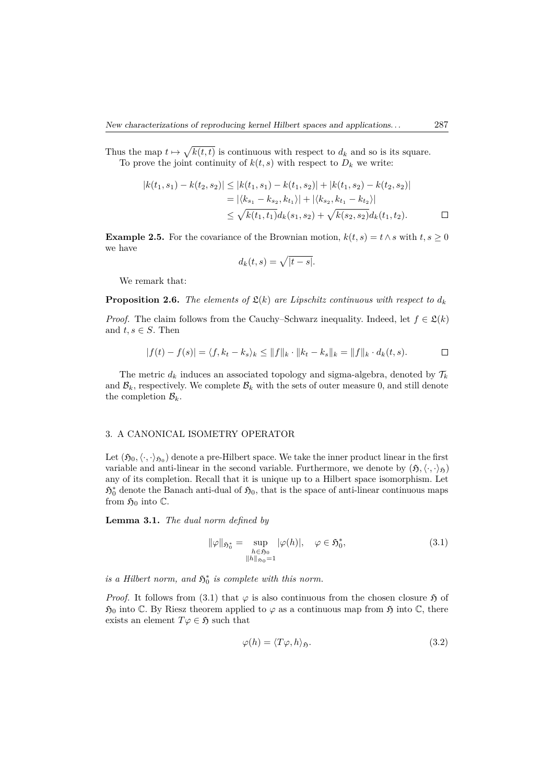Thus the map  $t \mapsto \sqrt{k(t,t)}$  is continuous with respect to  $d_k$  and so is its square. To prove the joint continuity of  $k(t, s)$  with respect to  $D_k$  we write:

$$
|k(t_1, s_1) - k(t_2, s_2)| \le |k(t_1, s_1) - k(t_1, s_2)| + |k(t_1, s_2) - k(t_2, s_2)|
$$
  
=  $|\langle k_{s_1} - k_{s_2}, k_{t_1} \rangle| + |\langle k_{s_2}, k_{t_1} - k_{t_2} \rangle|$   
 $\le \sqrt{k(t_1, t_1)} d_k(s_1, s_2) + \sqrt{k(s_2, s_2)} d_k(t_1, t_2).$ 

**Example 2.5.** For the covariance of the Brownian motion,  $k(t, s) = t \wedge s$  with  $t, s \geq 0$ we have

$$
d_k(t,s) = \sqrt{|t-s|}.
$$

We remark that:

**Proposition 2.6.** *The elements of*  $\mathfrak{L}(k)$  *are Lipschitz continuous with respect to*  $d_k$ 

*Proof.* The claim follows from the Cauchy–Schwarz inequality. Indeed, let  $f \in \mathcal{L}(k)$ and  $t, s \in S$ . Then

$$
|f(t) - f(s)| = \langle f, k_t - k_s \rangle_k \le ||f||_k \cdot ||k_t - k_s||_k = ||f||_k \cdot d_k(t, s).
$$

The metric  $d_k$  induces an associated topology and sigma-algebra, denoted by  $\mathcal{T}_k$ and  $\mathcal{B}_k$ , respectively. We complete  $\mathcal{B}_k$  with the sets of outer measure 0, and still denote the completion  $\mathcal{B}_k$ .

#### 3. A CANONICAL ISOMETRY OPERATOR

Let  $(\mathfrak{H}_0, \langle \cdot, \cdot \rangle_{\mathfrak{H}_0})$  denote a pre-Hilbert space. We take the inner product linear in the first variable and anti-linear in the second variable. Furthermore, we denote by  $(\mathfrak{H}, \langle \cdot, \cdot \rangle_{\mathfrak{H}})$ any of its completion. Recall that it is unique up to a Hilbert space isomorphism. Let  $5_0^*$  denote the Banach anti-dual of  $5_0$ , that is the space of anti-linear continuous maps from  $\mathfrak{H}_0$  into  $\mathbb{C}$ .

**Lemma 3.1.** *The dual norm defined by*

$$
\|\varphi\|_{\mathfrak{H}_0^*} = \sup_{\substack{h \in \mathfrak{H}_0 \\ \|h\|_{\mathfrak{H}_0} = 1}} |\varphi(h)|, \quad \varphi \in \mathfrak{H}_0^*,
$$
\n(3.1)

*is a Hilbert norm, and*  $\mathfrak{H}_0^*$  *is complete with this norm.* 

*Proof.* It follows from (3.1) that  $\varphi$  is also continuous from the chosen closure  $\mathfrak{H}$  of  $\mathfrak{H}_0$  into  $\mathbb C$ . By Riesz theorem applied to  $\varphi$  as a continuous map from  $\mathfrak H$  into  $\mathbb C$ , there exists an element  $T\varphi \in \mathfrak{H}$  such that

$$
\varphi(h) = \langle T\varphi, h \rangle_{\mathfrak{H}}.\tag{3.2}
$$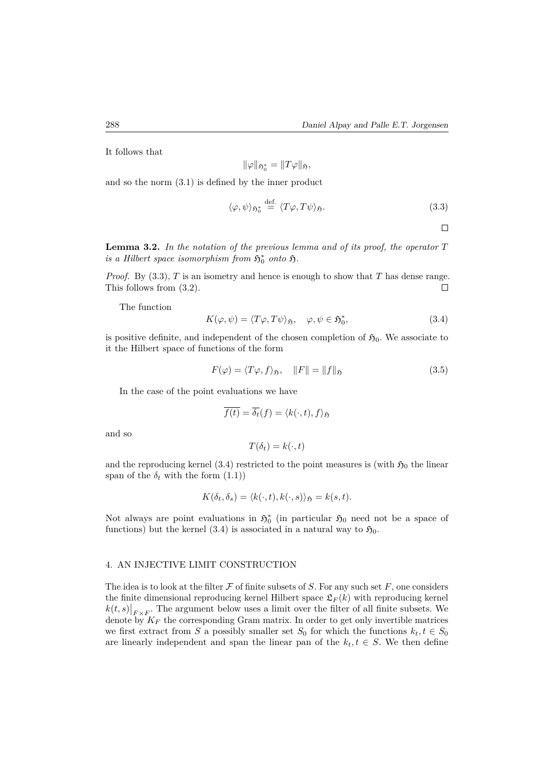It follows that

$$
\|\varphi\|_{\mathfrak{H}_0^*}=\|T\varphi\|_{\mathfrak{H}},
$$

and so the norm (3.1) is defined by the inner product

$$
\langle \varphi, \psi \rangle_{\mathfrak{H}_0^*} \stackrel{\text{def.}}{=} \langle T\varphi, T\psi \rangle_{\mathfrak{H}}.
$$
 (3.3)

 $\Box$ 

**Lemma 3.2.** *In the notation of the previous lemma and of its proof, the operator T is a Hilbert space isomorphism from*  $\mathfrak{H}^*_0$  *onto*  $\mathfrak{H}$ .

*Proof.* By (3.3), *T* is an isometry and hence is enough to show that *T* has dense range. This follows from (3.2).  $\Box$ 

The function

$$
K(\varphi, \psi) = \langle T\varphi, T\psi \rangle_{\mathfrak{H}}, \quad \varphi, \psi \in \mathfrak{H}_{0}^{*}, \tag{3.4}
$$

is positive definite, and independent of the chosen completion of  $\mathfrak{H}_0$ . We associate to it the Hilbert space of functions of the form

$$
F(\varphi) = \langle T\varphi, f \rangle_{\mathfrak{H}}, \quad ||F|| = ||f||_{\mathfrak{H}} \tag{3.5}
$$

In the case of the point evaluations we have

$$
\overline{f(t)} = \overline{\delta_t}(f) = \langle k(\cdot, t), f \rangle_{\mathfrak{H}}
$$

and so

$$
T(\delta_t) = k(\cdot, t)
$$

and the reproducing kernel (3.4) restricted to the point measures is (with  $\mathfrak{H}_0$  the linear span of the  $\delta_t$  with the form  $(1.1)$ 

$$
K(\delta_t, \delta_s) = \langle k(\cdot, t), k(\cdot, s) \rangle_{\mathfrak{H}} = k(s, t).
$$

Not always are point evaluations in  $\mathfrak{H}^*_0$  (in particular  $\mathfrak{H}_0$  need not be a space of functions) but the kernel (3.4) is associated in a natural way to  $\mathfrak{H}_0$ .

#### 4. AN INJECTIVE LIMIT CONSTRUCTION

The idea is to look at the filter  $\mathcal F$  of finite subsets of *S*. For any such set  $F$ , one considers the finite dimensional reproducing kernel Hilbert space  $\mathfrak{L}_F(k)$  with reproducing kernel  $k(t,s)$   $\Big|_{F \times F}$ . The argument below uses a limit over the filter of all finite subsets. We denote by  $K_F$  the corresponding Gram matrix. In order to get only invertible matrices we first extract from *S* a possibly smaller set  $S_0$  for which the functions  $k_t, t \in S_0$ are linearly independent and span the linear pan of the  $k_t, t \in S$ . We then define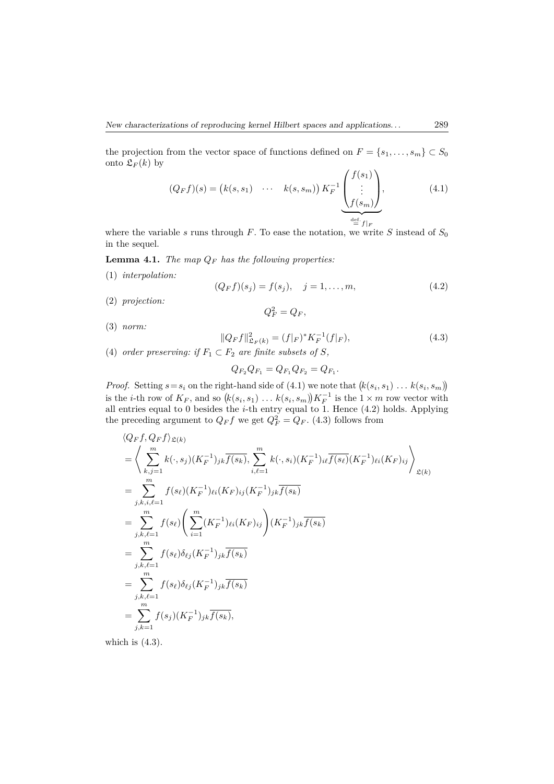the projection from the vector space of functions defined on  $F = \{s_1, \ldots, s_m\} \subset S_0$ onto  $\mathfrak{L}_F(k)$  by

$$
(Q_F f)(s) = (k(s, s_1) \cdots k(s, s_m)) K_F^{-1} \underbrace{\begin{pmatrix} f(s_1) \\ \vdots \\ f(s_m) \end{pmatrix}}_{\stackrel{\text{def.}}{=} f \mid F}, \tag{4.1}
$$

where the variable  $s$  runs through  $F$ . To ease the notation, we write  $S$  instead of  $S_0$ in the sequel.

**Lemma 4.1.** *The map Q<sup>F</sup> has the following properties:*

(1) *interpolation:*

$$
(Q_F f)(s_j) = f(s_j), \quad j = 1, ..., m,
$$
\n(4.2)

(2) *projection:*

$$
Q_F^2 = Q_F,
$$

(3) *norm:*

$$
||Q_Ff||_{\mathfrak{L}_F(k)}^2 = (f|_F)^* K_F^{-1}(f|_F),
$$
\n(4.3)

(4) *order preserving: if*  $F_1 \subset F_2$  *are finite subsets of S,* 

$$
Q_{F_2}Q_{F_1}=Q_{F_1}Q_{F_2}=Q_{F_1}.
$$

*Proof.* Setting  $s = s_i$  on the right-hand side of (4.1) we note that  $(k(s_i, s_1) \ldots k(s_i, s_m))$ is the *i*-th row of  $K_F$ , and so  $(k(s_i, s_1) \ldots k(s_i, s_m))K_F^{-1}$  is the  $1 \times m$  row vector with all entries equal to 0 besides the *i*-th entry equal to 1. Hence (4.2) holds. Applying the preceding argument to  $Q_F f$  we get  $Q_F^2 = Q_F$ . (4.3) follows from

$$
\langle Q_F f, Q_F f \rangle_{\mathfrak{L}(k)} \n= \left\langle \sum_{k,j=1}^m k(\cdot, s_j)(K_F^{-1})_{jk} \overline{f(s_k)}, \sum_{i,\ell=1}^m k(\cdot, s_i)(K_F^{-1})_{i\ell} \overline{f(s_\ell)}(K_F^{-1})_{\ell i}(K_F)_{ij} \right\rangle_{\mathfrak{L}(k)} \n= \sum_{j,k,i,\ell=1}^m f(s_\ell)(K_F^{-1})_{\ell i}(K_F)_{ij}(K_F^{-1})_{jk} \overline{f(s_k)} \n= \sum_{j,k,\ell=1}^m f(s_\ell) \left( \sum_{i=1}^m (K_F^{-1})_{\ell i}(K_F)_{ij} \right) (K_F^{-1})_{jk} \overline{f(s_k)} \n= \sum_{j,k,\ell=1}^m f(s_\ell) \delta_{\ell j}(K_F^{-1})_{jk} \overline{f(s_k)} \n= \sum_{j,k,\ell=1}^m f(s_\ell) \delta_{\ell j}(K_F^{-1})_{jk} \overline{f(s_k)} \n= \sum_{j,k=1}^m f(s_j)(K_F^{-1})_{jk} \overline{f(s_k)},
$$

which is  $(4.3)$ .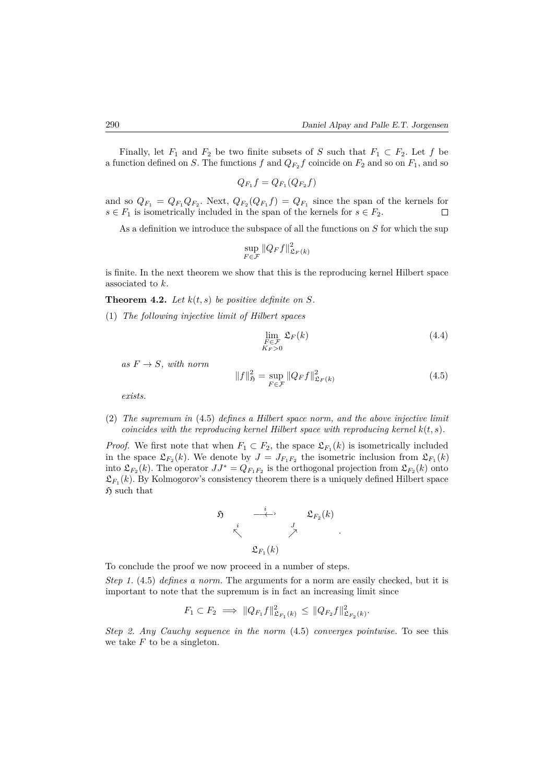Finally, let  $F_1$  and  $F_2$  be two finite subsets of *S* such that  $F_1 \subset F_2$ . Let *f* be a function defined on *S*. The functions  $f$  and  $Q_{F_2}f$  coincide on  $F_2$  and so on  $F_1$ , and so

$$
Q_{F_1}f = Q_{F_1}(Q_{F_2}f)
$$

and so  $Q_{F_1} = Q_{F_1}Q_{F_2}$ . Next,  $Q_{F_2}(Q_{F_1}f) = Q_{F_1}$  since the span of the kernels for  $s \in F_1$  is isometrically included in the span of the kernels for  $s \in F_2$ .  $\Box$ 

As a definition we introduce the subspace of all the functions on *S* for which the sup

$$
\sup_{F \in \mathcal{F}} \|Q_F f\|_{\mathfrak{L}_F(k)}^2
$$

is finite. In the next theorem we show that this is the reproducing kernel Hilbert space associated to *k*.

**Theorem 4.2.** Let  $k(t, s)$  be positive definite on  $S$ .

(1) *The following injective limit of Hilbert spaces*

$$
\lim_{\substack{F \in \mathcal{F} \\ K_F > 0}} \mathfrak{L}_F(k) \tag{4.4}
$$

 $as F \rightarrow S$ *, with norm* 

$$
||f||_{\mathfrak{H}}^{2} = \sup_{F \in \mathcal{F}} ||Q_{F}f||_{\mathfrak{L}_{F}(k)}^{2}
$$
 (4.5)

*.*

*exists.*

(2) *The supremum in* (4.5) *defines a Hilbert space norm, and the above injective limit coincides with the reproducing kernel Hilbert space with reproducing kernel*  $k(t, s)$ *.* 

*Proof.* We first note that when  $F_1 \subset F_2$ , the space  $\mathcal{L}_{F_1}(k)$  is isometrically included in the space  $\mathfrak{L}_{F_2}(k)$ . We denote by  $J = J_{F_1F_2}$  the isometric inclusion from  $\mathfrak{L}_{F_1}(k)$ into  $\mathfrak{L}_{F_2}(k)$ . The operator  $JJ^* = Q_{F_1F_2}$  is the orthogonal projection from  $\mathfrak{L}_{F_2}(k)$  onto  $\mathfrak{L}_{F_1}(k)$ . By Kolmogorov's consistency theorem there is a uniquely defined Hilbert space  $\mathfrak{H}$  such that

$$
\begin{array}{ccccc}\n\mathfrak{H} & & \xrightarrow{i} & & \mathfrak{L}_{F_2}(k) \\
\downarrow^i & & \nearrow & & \\
\mathfrak{L}_{F_1}(k) & & & & \n\end{array}
$$

To conclude the proof we now proceed in a number of steps.

*Step 1.* (4.5) *defines a norm.* The arguments for a norm are easily checked, but it is important to note that the supremum is in fact an increasing limit since

$$
F_1 \subset F_2 \implies ||Q_{F_1}f||^2_{\mathfrak{L}_{F_1}(k)} \leq ||Q_{F_2}f||^2_{\mathfrak{L}_{F_2}(k)}.
$$

*Step 2. Any Cauchy sequence in the norm* (4.5) *converges pointwise.* To see this we take *F* to be a singleton.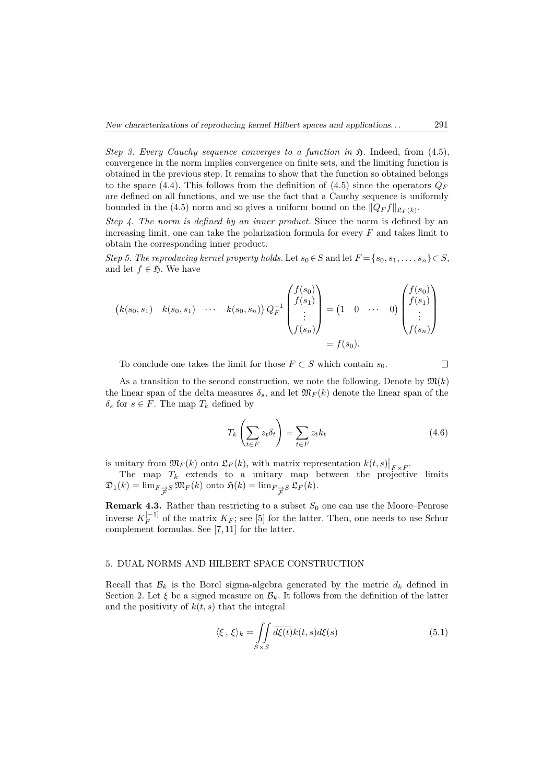*Step 3. Every Cauchy sequence converges to a function in*  $\mathfrak{H}$ *.* Indeed, from (4.5), convergence in the norm implies convergence on finite sets, and the limiting function is obtained in the previous step. It remains to show that the function so obtained belongs to the space (4.4). This follows from the definition of (4.5) since the operators  $Q_F$ are defined on all functions, and we use the fact that a Cauchy sequence is uniformly bounded in the (4.5) norm and so gives a uniform bound on the  $||Q_F f||_{\mathfrak{L}_F(k)}$ .

*Step 4. The norm is defined by an inner product.* Since the norm is defined by an increasing limit, one can take the polarization formula for every *F* and takes limit to obtain the corresponding inner product.

*Step 5. The reproducing kernel property holds.* Let  $s_0 \in S$  and let  $F = \{s_0, s_1, \ldots, s_n\} \subset S$ , and let  $f \in \mathfrak{H}$ . We have

$$
(k(s_0, s_1) \quad k(s_0, s_1) \quad \cdots \quad k(s_0, s_n)) Q_F^{-1} \begin{pmatrix} f(s_0) \\ f(s_1) \\ \vdots \\ f(s_n) \end{pmatrix} = (1 \quad 0 \quad \cdots \quad 0) \begin{pmatrix} f(s_0) \\ f(s_1) \\ \vdots \\ f(s_n) \end{pmatrix}
$$

$$
= f(s_0).
$$

To conclude one takes the limit for those  $F \subset S$  which contain  $s_0$ .

As a transition to the second construction, we note the following. Denote by  $\mathfrak{M}(k)$ the linear span of the delta measures  $\delta_s$ , and let  $\mathfrak{M}_F(k)$  denote the linear span of the  $\delta$ <sup>*s*</sup> for *s*  $\in$  *F*. The map *T<sub>k</sub>* defined by

$$
T_k\left(\sum_{t\in F} z_t \delta_t\right) = \sum_{t\in F} z_t k_t \tag{4.6}
$$

is unitary from  $\mathfrak{M}_F(k)$  onto  $\mathfrak{L}_F(k)$ , with matrix representation  $k(t,s)|_{F \times F}$ .

The map  $T_k$  extends to a unitary map between the projective limits  $\mathfrak{D}_1(k) = \lim_{F \to S} \mathfrak{M}_F(k)$  onto  $\mathfrak{H}(k) = \lim_{F \to S} \mathfrak{L}_F(k)$ . F F

**Remark 4.3.** Rather than restricting to a subset  $S_0$  one can use the Moore–Penrose inverse  $K_F^{[-1]}$  of the matrix  $K_F$ ; see [5] for the latter. Then, one needs to use Schur complement formulas. See [7, 11] for the latter.

#### 5. DUAL NORMS AND HILBERT SPACE CONSTRUCTION

Recall that  $\mathcal{B}_k$  is the Borel sigma-algebra generated by the metric  $d_k$  defined in Section 2. Let  $\xi$  be a signed measure on  $\mathcal{B}_k$ . It follows from the definition of the latter and the positivity of  $k(t, s)$  that the integral

$$
\langle \xi, \xi \rangle_k = \iint\limits_{S \times S} \overline{d\xi(t)} k(t, s) d\xi(s) \tag{5.1}
$$

 $\Box$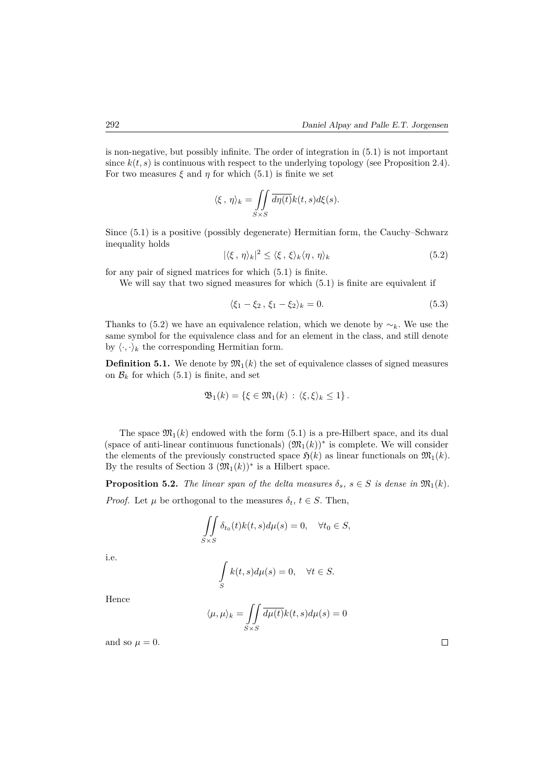is non-negative, but possibly infinite. The order of integration in (5.1) is not important since  $k(t, s)$  is continuous with respect to the underlying topology (see Proposition 2.4). For two measures  $\xi$  and  $\eta$  for which (5.1) is finite we set

$$
\langle \xi, \eta \rangle_k = \iint\limits_{S \times S} \overline{d\eta(t)} k(t, s) d\xi(s).
$$

Since (5.1) is a positive (possibly degenerate) Hermitian form, the Cauchy–Schwarz inequality holds

$$
|\langle \xi, \eta \rangle_k|^2 \le \langle \xi, \xi \rangle_k \langle \eta, \eta \rangle_k \tag{5.2}
$$

for any pair of signed matrices for which (5.1) is finite.

We will say that two signed measures for which (5.1) is finite are equivalent if

$$
\langle \xi_1 - \xi_2, \, \xi_1 - \xi_2 \rangle_k = 0. \tag{5.3}
$$

Thanks to (5.2) we have an equivalence relation, which we denote by  $\sim_k$ . We use the same symbol for the equivalence class and for an element in the class, and still denote by  $\langle \cdot, \cdot \rangle_k$  the corresponding Hermitian form.

**Definition 5.1.** We denote by  $\mathfrak{M}_1(k)$  the set of equivalence classes of signed measures on  $\mathcal{B}_k$  for which (5.1) is finite, and set

$$
\mathfrak{B}_1(k) = \left\{ \xi \in \mathfrak{M}_1(k) \,:\, \langle \xi, \xi \rangle_k \leq 1 \right\}.
$$

The space  $\mathfrak{M}_1(k)$  endowed with the form (5.1) is a pre-Hilbert space, and its dual (space of anti-linear continuous functionals)  $(\mathfrak{M}_1(k))^*$  is complete. We will consider the elements of the previously constructed space  $\mathfrak{H}(k)$  as linear functionals on  $\mathfrak{M}_1(k)$ . By the results of Section 3  $(\mathfrak{M}_1(k))^*$  is a Hilbert space.

**Proposition 5.2.** *The linear span of the delta measures*  $\delta_s$ ,  $s \in S$  *is dense in*  $\mathfrak{M}_1(k)$ *.* 

*Proof.* Let  $\mu$  be orthogonal to the measures  $\delta_t$ ,  $t \in S$ . Then,

$$
\iint\limits_{S\times S} \delta_{t_0}(t)k(t,s)d\mu(s) = 0, \quad \forall t_0 \in S,
$$

i.e.

$$
\int_{S} k(t,s)d\mu(s) = 0, \quad \forall t \in S.
$$

Hence

$$
\langle \mu, \mu \rangle_k = \iint\limits_{S \times S} \overline{d\mu(t)} k(t, s) d\mu(s) = 0
$$

and so  $\mu = 0$ .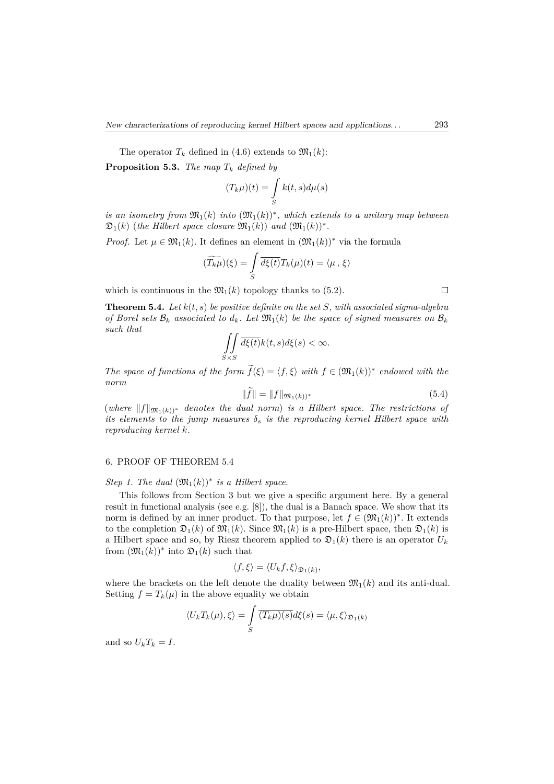The operator  $T_k$  defined in (4.6) extends to  $\mathfrak{M}_1(k)$ :

**Proposition 5.3.** *The map T<sup>k</sup> defined by*

$$
(T_k \mu)(t) = \int_S k(t, s) d\mu(s)
$$

*is an isometry from*  $\mathfrak{M}_1(k)$  *into*  $(\mathfrak{M}_1(k))^*$ , which extends to a unitary map between  $\mathfrak{D}_1(k)$  (*the Hilbert space closure*  $\mathfrak{M}_1(k)$ ) *and*  $(\mathfrak{M}_1(k))^*$ .

*Proof.* Let  $\mu \in \mathfrak{M}_1(k)$ . It defines an element in  $(\mathfrak{M}_1(k))^*$  via the formula

$$
(\widetilde{T_k\mu})(\xi) = \int\limits_{S} \overline{d\xi(t)} T_k(\mu)(t) = \langle \mu, \xi \rangle
$$

which is continuous in the  $\mathfrak{M}_1(k)$  topology thanks to (5.2).

**Theorem 5.4.** *Let k*(*t, s*) *be positive definite on the set S, with associated sigma-algebra of Borel sets*  $\mathcal{B}_k$  *associated to*  $d_k$ *. Let*  $\mathfrak{M}_1(k)$  *be the space of signed measures on*  $\mathcal{B}_k$ *such that*

$$
\iint\limits_{S\times S}\overline{d\xi(t)}k(t,s)d\xi(s)<\infty.
$$

*The space of functions of the form*  $f(\xi) = \langle f, \xi \rangle$  *with*  $f \in (\mathfrak{M}_1(k))^*$  *endowed with the norm*

$$
||f|| = ||f||_{\mathfrak{M}_1(k))^*}
$$
\n(5.4)

 $(where ||f||_{\mathfrak{M}_1(k))^*}$  *denotes the dual norm*) *is a Hilbert space. The restrictions of its elements to the jump measures*  $\delta_s$  *is the reproducing kernel Hilbert space with reproducing kernel k.*

#### 6. PROOF OF THEOREM 5.4

*Step 1. The dual*  $(\mathfrak{M}_1(k))^*$  *is a Hilbert space.* 

This follows from Section 3 but we give a specific argument here. By a general result in functional analysis (see e.g.  $[8]$ ), the dual is a Banach space. We show that its norm is defined by an inner product. To that purpose, let  $f \in (\mathfrak{M}_1(k))^*$ . It extends to the completion  $\mathfrak{D}_1(k)$  of  $\mathfrak{M}_1(k)$ . Since  $\mathfrak{M}_1(k)$  is a pre-Hilbert space, then  $\mathfrak{D}_1(k)$  is a Hilbert space and so, by Riesz theorem applied to  $\mathfrak{D}_1(k)$  there is an operator  $U_k$ from  $(\mathfrak{M}_1(k))^*$  into  $\mathfrak{D}_1(k)$  such that

$$
\langle f,\xi\rangle=\langle U_kf,\xi\rangle_{\mathfrak{D}_1(k)},
$$

where the brackets on the left denote the duality between  $\mathfrak{M}_1(k)$  and its anti-dual. Setting  $f = T_k(\mu)$  in the above equality we obtain

$$
\langle U_k T_k(\mu), \xi \rangle = \int_S \overline{(T_k \mu)(s)} d\xi(s) = \langle \mu, \xi \rangle_{\mathfrak{D}_1(k)}
$$

and so  $U_k T_k = I$ .

 $\Box$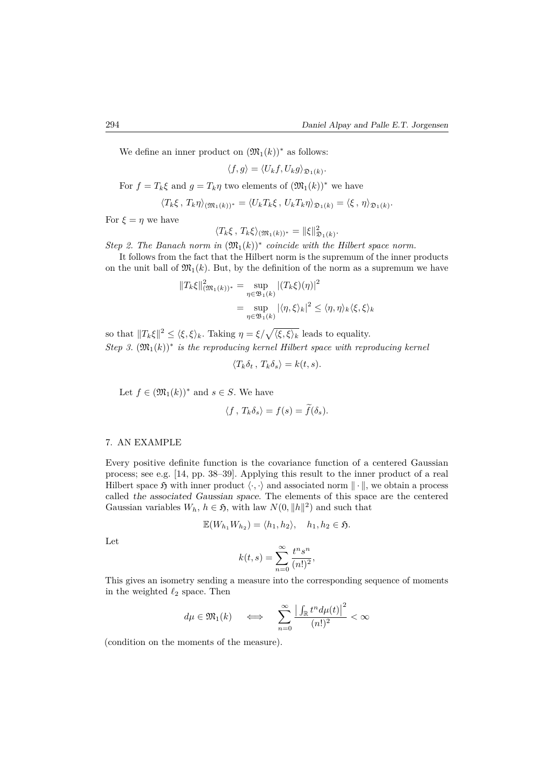We define an inner product on  $(\mathfrak{M}_1(k))^*$  as follows:

$$
\langle f,g\rangle=\langle U_kf,U_kg\rangle_{\mathfrak{D}_1(k)}.
$$

For  $f = T_k \xi$  and  $g = T_k \eta$  two elements of  $(\mathfrak{M}_1(k))^*$  we have

$$
\langle T_k \xi, T_k \eta \rangle_{(\mathfrak{M}_1(k))^*} = \langle U_k T_k \xi, U_k T_k \eta \rangle_{\mathfrak{D}_1(k)} = \langle \xi, \eta \rangle_{\mathfrak{D}_1(k)}.
$$

For  $\xi = \eta$  we have

$$
\langle T_k\xi, T_k\xi\rangle_{(\mathfrak{M}_1(k))^*} = \|\xi\|_{\mathfrak{D}_1(k)}^2.
$$

*Step 2. The Banach norm in*  $(\mathfrak{M}_1(k))^*$  *coincide with the Hilbert space norm.* 

It follows from the fact that the Hilbert norm is the supremum of the inner products on the unit ball of  $\mathfrak{M}_1(k)$ . But, by the definition of the norm as a supremum we have

$$
||T_k\xi||_{\mathfrak{M}_1(k))^*}^2 = \sup_{\eta \in \mathfrak{B}_1(k)} |(T_k\xi)(\eta)|^2
$$
  
= 
$$
\sup_{\eta \in \mathfrak{B}_1(k)} |\langle \eta, \xi \rangle_k|^2 \le \langle \eta, \eta \rangle_k \langle \xi, \xi \rangle_k
$$

so that  $||T_k\xi||^2 \le \langle \xi, \xi \rangle_k$ . Taking  $\eta = \xi/\sqrt{\langle \xi, \xi \rangle_k}$  leads to equality.  $Step 3. \, (\mathfrak{M}_1(k))^*$  *is the reproducing kernel Hilbert space with reproducing kernel* 

$$
\langle T_k \delta_t, T_k \delta_s \rangle = k(t, s).
$$

Let  $f \in (\mathfrak{M}_1(k))^*$  and  $s \in S$ . We have

$$
\langle f, T_k \delta_s \rangle = f(s) = \tilde{f}(\delta_s).
$$

#### 7. AN EXAMPLE

Every positive definite function is the covariance function of a centered Gaussian process; see e.g. [14, pp. 38–39]. Applying this result to the inner product of a real Hilbert space  $\mathfrak H$  with inner product  $\langle \cdot, \cdot \rangle$  and associated norm  $\|\cdot\|$ , we obtain a process called the associated Gaussian space. The elements of this space are the centered Gaussian variables  $W_h$ ,  $h \in \mathfrak{H}$ , with law  $N(0, \|h\|^2)$  and such that

$$
\mathbb{E}(W_{h_1}W_{h_2})=\langle h_1,h_2\rangle, \quad h_1,h_2\in\mathfrak{H}.
$$

Let

$$
k(t,s) = \sum_{n=0}^{\infty} \frac{t^n s^n}{(n!)^2},
$$

This gives an isometry sending a measure into the corresponding sequence of moments in the weighted  $\ell_2$  space. Then

$$
d\mu \in \mathfrak{M}_1(k) \quad \iff \quad \sum_{n=0}^{\infty} \frac{\left| \int_{\mathbb{R}} t^n d\mu(t) \right|^2}{(n!)^2} < \infty
$$

(condition on the moments of the measure).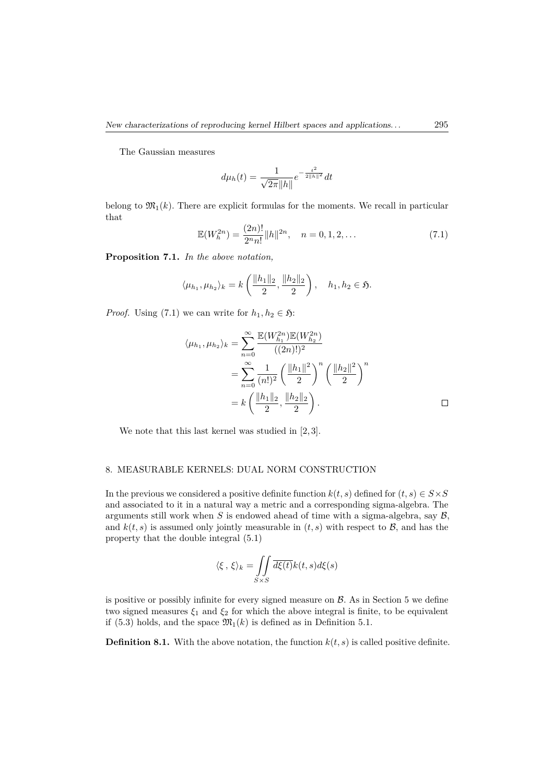The Gaussian measures

$$
d\mu_h(t) = \frac{1}{\sqrt{2\pi} \|h\|} e^{-\frac{t^2}{2\|h\|^2}} dt
$$

belong to  $\mathfrak{M}_1(k)$ . There are explicit formulas for the moments. We recall in particular that

$$
\mathbb{E}(W_h^{2n}) = \frac{(2n)!}{2^n n!} ||h||^{2n}, \quad n = 0, 1, 2, \dots
$$
\n(7.1)

**Proposition 7.1.** *In the above notation,*

$$
\langle \mu_{h_1}, \mu_{h_2} \rangle_k = k \left( \frac{\|h_1\|_2}{2}, \frac{\|h_2\|_2}{2} \right), \quad h_1, h_2 \in \mathfrak{H}.
$$

*Proof.* Using (7.1) we can write for  $h_1, h_2 \in \mathfrak{H}$ :

$$
\langle \mu_{h_1}, \mu_{h_2} \rangle_k = \sum_{n=0}^{\infty} \frac{\mathbb{E}(W_{h_1}^{2n}) \mathbb{E}(W_{h_2}^{2n})}{((2n)!)^2}
$$
  
= 
$$
\sum_{n=0}^{\infty} \frac{1}{(n!)^2} \left(\frac{\|h_1\|^2}{2}\right)^n \left(\frac{\|h_2\|^2}{2}\right)^n
$$
  
= 
$$
k \left(\frac{\|h_1\|_2}{2}, \frac{\|h_2\|_2}{2}\right).
$$

We note that this last kernel was studied in [2, 3].

#### 8. MEASURABLE KERNELS: DUAL NORM CONSTRUCTION

In the previous we considered a positive definite function  $k(t, s)$  defined for  $(t, s) \in S \times S$ and associated to it in a natural way a metric and a corresponding sigma-algebra. The arguments still work when  $S$  is endowed ahead of time with a sigma-algebra, say  $\mathcal{B}$ , and  $k(t, s)$  is assumed only jointly measurable in  $(t, s)$  with respect to  $\mathcal{B}$ , and has the property that the double integral (5.1)

$$
\langle \xi, \xi \rangle_k = \iint\limits_{S \times S} \overline{d\xi(t)} k(t, s) d\xi(s)
$$

is positive or possibly infinite for every signed measure on  $\beta$ . As in Section 5 we define two signed measures  $\xi_1$  and  $\xi_2$  for which the above integral is finite, to be equivalent if (5.3) holds, and the space  $\mathfrak{M}_1(k)$  is defined as in Definition 5.1.

**Definition 8.1.** With the above notation, the function  $k(t, s)$  is called positive definite.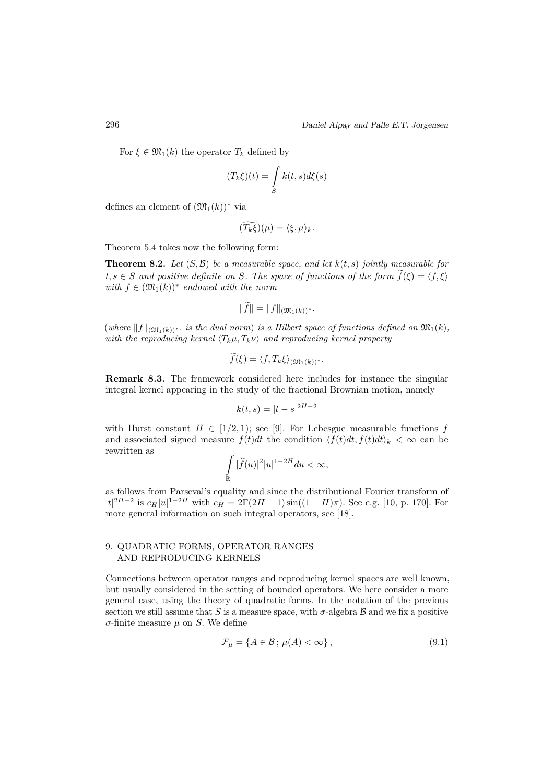For  $\xi \in \mathfrak{M}_1(k)$  the operator  $T_k$  defined by

$$
(T_k\xi)(t) = \int\limits_{S} k(t,s)d\xi(s)
$$

defines an element of  $(\mathfrak{M}_1(k))^*$  via

$$
(\widetilde{T_k\xi})(\mu)=\langle \xi,\mu\rangle_k.
$$

Theorem 5.4 takes now the following form:

**Theorem 8.2.** Let  $(S, \mathcal{B})$  be a measurable space, and let  $k(t, s)$  jointly measurable for  $t, s \in S$  *and positive definite on S. The space of functions of the form*  $\tilde{f}(\xi) = \langle f, \xi \rangle$  $with f ∈ (\mathfrak{M}_1(k))^*$  endowed with the norm

$$
||f|| = ||f||_{(\mathfrak{M}_1(k))^*}.
$$

 $(where ||f||_{(\mathfrak{M}_1(k))^*}$ *. is the dual norm*) *is a Hilbert space of functions defined on*  $\mathfrak{M}_1(k)$ *, with the reproducing kernel*  $\langle T_k \mu, T_k \nu \rangle$  and reproducing kernel property

$$
f(\xi) = \langle f, T_k \xi \rangle_{(\mathfrak{M}_1(k))^*}.
$$

**Remark 8.3.** The framework considered here includes for instance the singular integral kernel appearing in the study of the fractional Brownian motion, namely

$$
k(t,s) = |t - s|^{2H - 2}
$$

with Hurst constant  $H \in [1/2, 1)$ ; see [9]. For Lebesgue measurable functions f and associated signed measure  $f(t)dt$  the condition  $\langle f(t)dt, f(t)dt \rangle_k < \infty$  can be rewritten as

$$
\int_{\mathbb{R}} |\widehat{f}(u)|^2 |u|^{1-2H} du < \infty,
$$

as follows from Parseval's equality and since the distributional Fourier transform of  $|t|^{2H-2}$  is  $c_H|u|^{1-2H}$  with  $c_H = 2\Gamma(2H-1)\sin((1-H)\pi)$ . See e.g. [10, p. 170]. For more general information on such integral operators, see [18].

#### 9. QUADRATIC FORMS, OPERATOR RANGES AND REPRODUCING KERNELS

Connections between operator ranges and reproducing kernel spaces are well known, but usually considered in the setting of bounded operators. We here consider a more general case, using the theory of quadratic forms. In the notation of the previous section we still assume that *S* is a measure space, with  $\sigma$ -algebra  $\beta$  and we fix a positive *σ*-finite measure *µ* on *S*. We define

$$
\mathcal{F}_{\mu} = \{ A \in \mathcal{B} \, ; \, \mu(A) < \infty \},\tag{9.1}
$$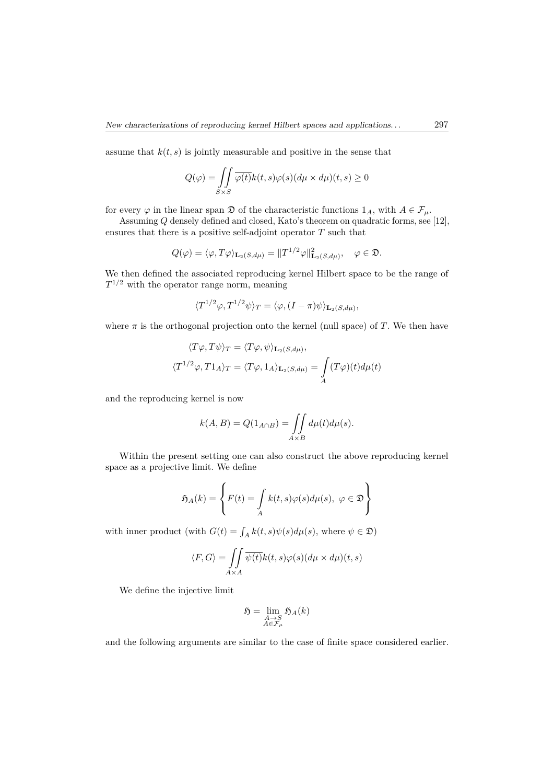assume that  $k(t, s)$  is jointly measurable and positive in the sense that

$$
Q(\varphi) = \iint\limits_{S \times S} \overline{\varphi(t)} k(t, s) \varphi(s) (d\mu \times d\mu)(t, s) \ge 0
$$

for every  $\varphi$  in the linear span  $\mathfrak{D}$  of the characteristic functions  $1_A$ , with  $A \in \mathcal{F}_\mu$ .

Assuming *Q* densely defined and closed, Kato's theorem on quadratic forms, see [12], ensures that there is a positive self-adjoint operator *T* such that

$$
Q(\varphi) = \langle \varphi, T\varphi \rangle_{\mathbf{L}_2(S, d\mu)} = ||T^{1/2}\varphi||^2_{\mathbf{L}_2(S, d\mu)}, \quad \varphi \in \mathfrak{D}.
$$

We then defined the associated reproducing kernel Hilbert space to be the range of *T* <sup>1</sup>*/*<sup>2</sup> with the operator range norm, meaning

$$
\langle T^{1/2}\varphi, T^{1/2}\psi \rangle_T = \langle \varphi, (I - \pi)\psi \rangle_{\mathbf{L}_2(S, d\mu)},
$$

where  $\pi$  is the orthogonal projection onto the kernel (null space) of *T*. We then have

$$
\langle T\varphi, T\psi \rangle_T = \langle T\varphi, \psi \rangle_{\mathbf{L}_2(S, d\mu)},
$$
  

$$
\langle T^{1/2}\varphi, T1_A \rangle_T = \langle T\varphi, 1_A \rangle_{\mathbf{L}_2(S, d\mu)} = \int_A (T\varphi)(t) d\mu(t)
$$

and the reproducing kernel is now

$$
k(A, B) = Q(1_{A \cap B}) = \iint_{A \times B} d\mu(t) d\mu(s).
$$

Within the present setting one can also construct the above reproducing kernel space as a projective limit. We define

$$
\mathfrak{H}_A(k) = \left\{ F(t) = \int_A k(t,s)\varphi(s)d\mu(s), \ \varphi \in \mathfrak{D} \right\}
$$

with inner product (with  $G(t) = \int_A k(t, s) \psi(s) d\mu(s)$ , where  $\psi \in \mathfrak{D}$ )

$$
\langle F, G \rangle = \iint_{A \times A} \overline{\psi(t)} k(t, s) \varphi(s) (d\mu \times d\mu)(t, s)
$$

We define the injective limit

$$
\mathfrak{H} = \lim_{\substack{A \to S \\ A \in \mathcal{F}_\mu}} \mathfrak{H}_A(k)
$$

and the following arguments are similar to the case of finite space considered earlier.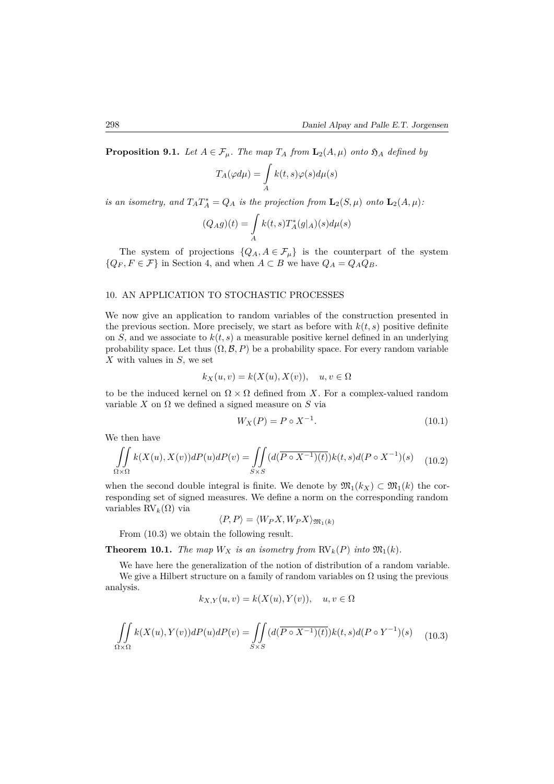**Proposition 9.1.** *Let*  $A \in \mathcal{F}_{\mu}$ *. The map*  $T_A$  *from*  $\mathbf{L}_2(A, \mu)$  *onto*  $\mathfrak{H}_A$  *defined by* 

$$
T_A(\varphi d\mu)=\int\limits_A k(t,s)\varphi(s)d\mu(s)
$$

*is an isometry, and*  $T_A T_A^* = Q_A$  *is the projection from*  $\mathbf{L}_2(S, \mu)$  *onto*  $\mathbf{L}_2(A, \mu)$ *:* 

$$
(Q_Ag)(t)=\int\limits_A k(t,s)T^*_A(g|_A)(s)d\mu(s)
$$

The system of projections  ${Q_A, A \in \mathcal{F}_\mu}$  is the counterpart of the system  ${Q_F, F \in \mathcal{F}}$  in Section 4, and when  $A \subset B$  we have  $Q_A = Q_A Q_B$ .

#### 10. AN APPLICATION TO STOCHASTIC PROCESSES

We now give an application to random variables of the construction presented in the previous section. More precisely, we start as before with  $k(t, s)$  positive definite on *S*, and we associate to  $k(t, s)$  a measurable positive kernel defined in an underlying probability space. Let thus  $(\Omega, \mathcal{B}, P)$  be a probability space. For every random variable *X* with values in *S*, we set

$$
k_X(u,v) = k(X(u), X(v)), \quad u, v \in \Omega
$$

to be the induced kernel on  $\Omega \times \Omega$  defined from X. For a complex-valued random variable  $X$  on  $\Omega$  we defined a signed measure on  $S$  via

$$
W_X(P) = P \circ X^{-1}.
$$
 (10.1)

We then have

$$
\iint\limits_{\Omega \times \Omega} k(X(u), X(v))dP(u)dP(v) = \iint\limits_{S \times S} (d(\overline{P \circ X^{-1})(t)})k(t, s)d(P \circ X^{-1})(s) \tag{10.2}
$$

when the second double integral is finite. We denote by  $\mathfrak{M}_1(k_X) \subset \mathfrak{M}_1(k)$  the corresponding set of signed measures. We define a norm on the corresponding random variables RV*k*(Ω) via

$$
\langle P, P \rangle = \langle W_P X, W_P X \rangle_{\mathfrak{M}_1(k)}
$$

From (10.3) we obtain the following result.

**Theorem 10.1.** *The map*  $W_X$  *is an isometry from*  $RV_k(P)$  *into*  $\mathfrak{M}_1(k)$ *.* 

We have here the generalization of the notion of distribution of a random variable. We give a Hilbert structure on a family of random variables on  $\Omega$  using the previous analysis.

$$
k_{X,Y}(u,v) = k(X(u), Y(v)), \quad u, v \in \Omega
$$

$$
\iint\limits_{\Omega\times\Omega} k(X(u), Y(v))dP(u)dP(v) = \iint\limits_{S\times S} (d(\overline{P\circ X^{-1})(t)})k(t,s)d(P\circ Y^{-1})(s) \tag{10.3}
$$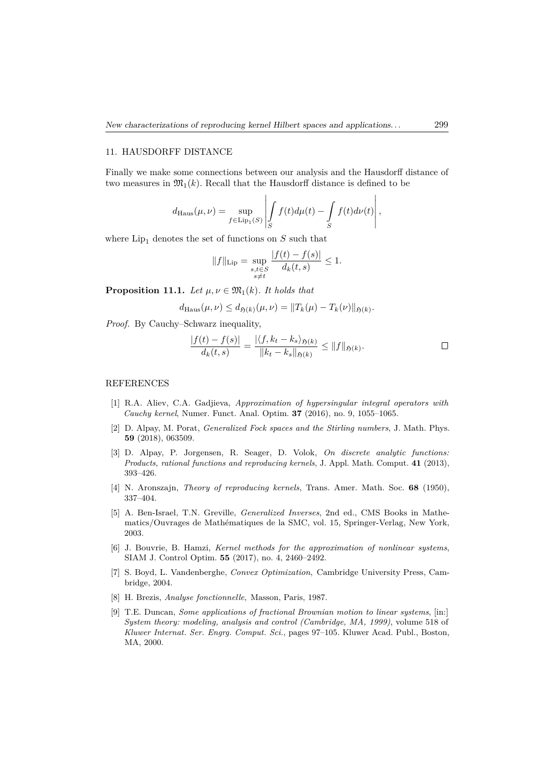#### 11. HAUSDORFF DISTANCE

Finally we make some connections between our analysis and the Hausdorff distance of two measures in  $\mathfrak{M}_1(k)$ . Recall that the Hausdorff distance is defined to be

$$
d_{\text{Haus}}(\mu,\nu) = \sup_{f \in \text{Lip}_1(S)} \left| \int_S f(t) d\mu(t) - \int_S f(t) d\nu(t) \right|,
$$

where  $Lip_1$  denotes the set of functions on  $S$  such that

$$
||f||_{\text{Lip}} = \sup_{\substack{s,t \in S \\ s \neq t}} \frac{|f(t) - f(s)|}{d_k(t,s)} \le 1.
$$

**Proposition 11.1.** *Let*  $\mu, \nu \in \mathfrak{M}_1(k)$ *. It holds that* 

$$
d_{\text{Haus}}(\mu, \nu) \leq d_{\mathfrak{H}(k)}(\mu, \nu) = ||T_k(\mu) - T_k(\nu)||_{\mathfrak{H}(k)}.
$$

*Proof.* By Cauchy–Schwarz inequality,

$$
\frac{|f(t) - f(s)|}{d_k(t, s)} = \frac{|\langle f, k_t - k_s \rangle_{\mathfrak{H}(k)}}{\|k_t - k_s\|_{\mathfrak{H}(k)}} \le \|f\|_{\mathfrak{H}(k)}.
$$

#### REFERENCES

- [1] R.A. Aliev, C.A. Gadjieva, *Approximation of hypersingular integral operators with Cauchy kernel*, Numer. Funct. Anal. Optim. **37** (2016), no. 9, 1055–1065.
- [2] D. Alpay, M. Porat, *Generalized Fock spaces and the Stirling numbers*, J. Math. Phys. **59** (2018), 063509.
- [3] D. Alpay, P. Jorgensen, R. Seager, D. Volok, *On discrete analytic functions: Products, rational functions and reproducing kernels*, J. Appl. Math. Comput. **41** (2013), 393–426.
- [4] N. Aronszajn, *Theory of reproducing kernels*, Trans. Amer. Math. Soc. **68** (1950), 337–404.
- [5] A. Ben-Israel, T.N. Greville, *Generalized Inverses*, 2nd ed., CMS Books in Mathematics/Ouvrages de Mathématiques de la SMC, vol. 15, Springer-Verlag, New York, 2003.
- [6] J. Bouvrie, B. Hamzi, *Kernel methods for the approximation of nonlinear systems*, SIAM J. Control Optim. **55** (2017), no. 4, 2460–2492.
- [7] S. Boyd, L. Vandenberghe, *Convex Optimization*, Cambridge University Press, Cambridge, 2004.
- [8] H. Brezis, *Analyse fonctionnelle*, Masson, Paris, 1987.
- [9] T.E. Duncan, *Some applications of fractional Brownian motion to linear systems*, [in:] *System theory: modeling, analysis and control (Cambridge, MA, 1999)*, volume 518 of *Kluwer Internat. Ser. Engrg. Comput. Sci.*, pages 97–105. Kluwer Acad. Publ., Boston, MA, 2000.